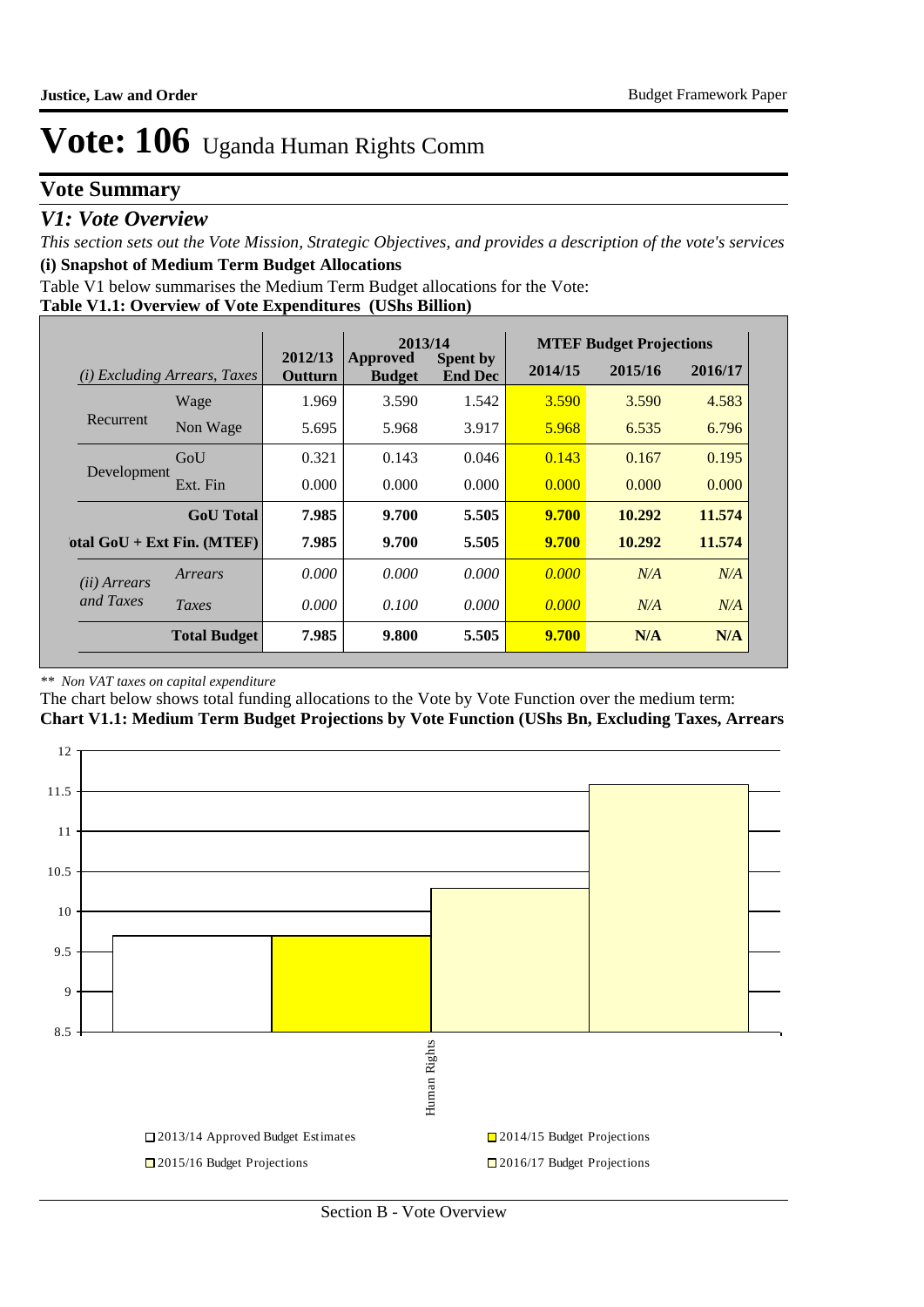## **Vote Summary**

### *V1: Vote Overview*

*This section sets out the Vote Mission, Strategic Objectives, and provides a description of the vote's services* **(i) Snapshot of Medium Term Budget Allocations** 

Table V1 below summarises the Medium Term Budget allocations for the Vote:

#### **Table V1.1: Overview of Vote Expenditures (UShs Billion)**

|              |                                     |                           | 2013/14                          |                                   |         | <b>MTEF Budget Projections</b> |         |
|--------------|-------------------------------------|---------------------------|----------------------------------|-----------------------------------|---------|--------------------------------|---------|
|              | <i>(i)</i> Excluding Arrears, Taxes | 2012/13<br><b>Outturn</b> | <b>Approved</b><br><b>Budget</b> | <b>Spent by</b><br><b>End Dec</b> | 2014/15 | 2015/16                        | 2016/17 |
|              | Wage                                | 1.969                     | 3.590                            | 1.542                             | 3.590   | 3.590                          | 4.583   |
| Recurrent    | Non Wage                            | 5.695                     | 5.968                            | 3.917                             | 5.968   | 6.535                          | 6.796   |
|              | GoU                                 | 0.321                     | 0.143                            | 0.046                             | 0.143   | 0.167                          | 0.195   |
| Development  | Ext. Fin                            | 0.000                     | 0.000                            | 0.000                             | 0.000   | 0.000                          | 0.000   |
|              | <b>GoU</b> Total                    | 7.985                     | 9.700                            | 5.505                             | 9.700   | 10.292                         | 11.574  |
|              | otal $GoU + Ext Fin. (MTEF)$        | 7.985                     | 9.700                            | 5.505                             | 9.700   | 10.292                         | 11.574  |
| (ii) Arrears | Arrears                             | 0.000                     | 0.000                            | 0.000                             | 0.000   | N/A                            | N/A     |
| and Taxes    | Taxes                               | 0.000                     | 0.100                            | 0.000                             | 0.000   | N/A                            | N/A     |
|              | <b>Total Budget</b>                 | 7.985                     | 9.800                            | 5.505                             | 9.700   | N/A                            | N/A     |

#### *\*\* Non VAT taxes on capital expenditure*

The chart below shows total funding allocations to the Vote by Vote Function over the medium term:

#### **Chart V1.1: Medium Term Budget Projections by Vote Function (UShs Bn, Excluding Taxes, Arrears**

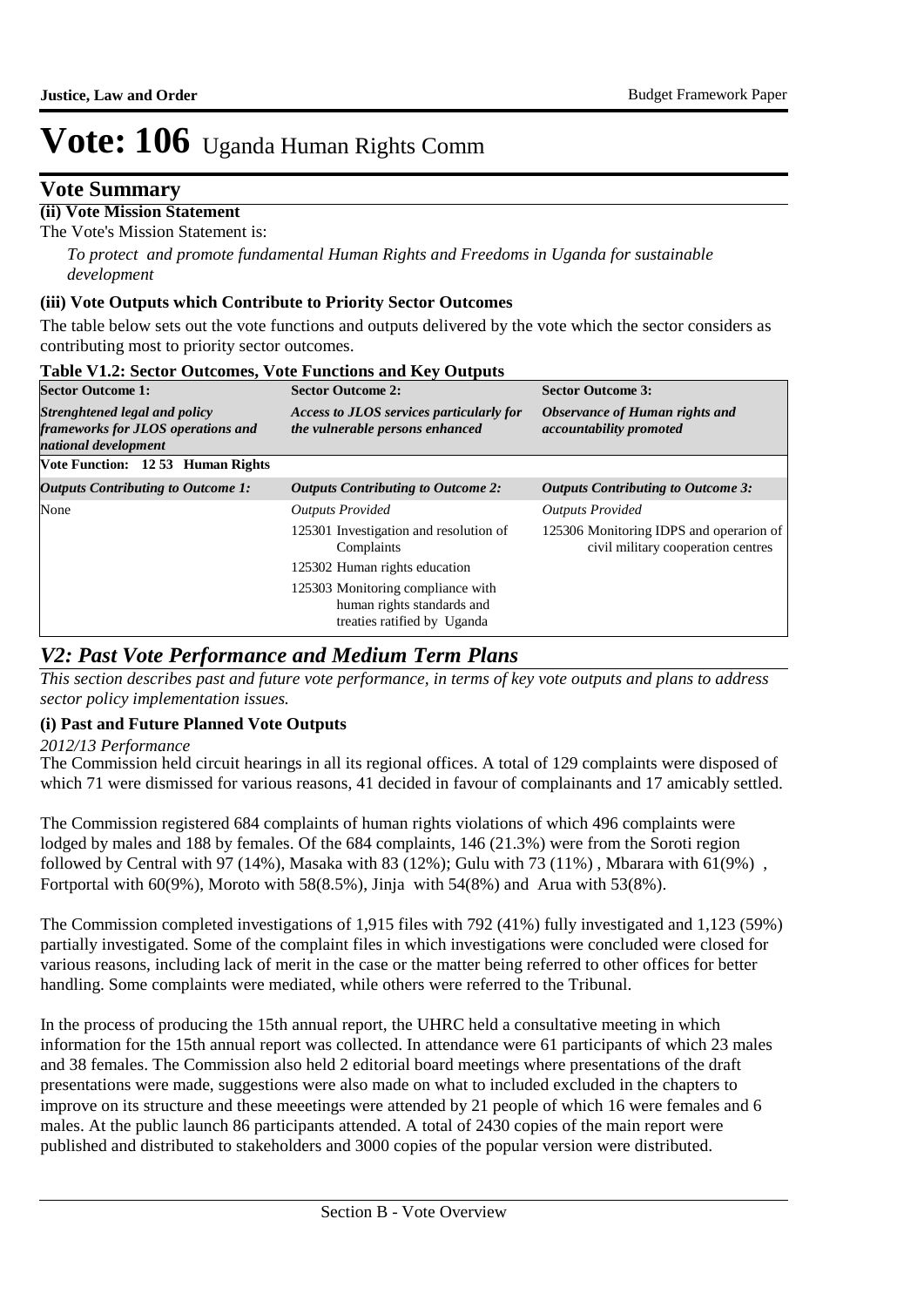### **Vote Summary**

### **(ii) Vote Mission Statement**

The Vote's Mission Statement is:

*To protect and promote fundamental Human Rights and Freedoms in Uganda for sustainable development*

#### **(iii) Vote Outputs which Contribute to Priority Sector Outcomes**

The table below sets out the vote functions and outputs delivered by the vote which the sector considers as contributing most to priority sector outcomes.

| Table V1.2: Sector Outcomes, Vote Functions and Key Outputs                                 |                                                                                                |                                                                               |  |  |  |  |  |
|---------------------------------------------------------------------------------------------|------------------------------------------------------------------------------------------------|-------------------------------------------------------------------------------|--|--|--|--|--|
| <b>Sector Outcome 1:</b>                                                                    | <b>Sector Outcome 2:</b>                                                                       | <b>Sector Outcome 3:</b>                                                      |  |  |  |  |  |
| Strenghtened legal and policy<br>frameworks for JLOS operations and<br>national development | <b>Access to JLOS services particularly for</b><br>the vulnerable persons enhanced             | Observance of Human rights and<br>accountability promoted                     |  |  |  |  |  |
| Vote Function: 1253 Human Rights                                                            |                                                                                                |                                                                               |  |  |  |  |  |
| <b>Outputs Contributing to Outcome 1:</b>                                                   | <b>Outputs Contributing to Outcome 2:</b>                                                      | <b>Outputs Contributing to Outcome 3:</b>                                     |  |  |  |  |  |
| None                                                                                        | <b>Outputs Provided</b>                                                                        | <b>Outputs Provided</b>                                                       |  |  |  |  |  |
|                                                                                             | 125301 Investigation and resolution of<br>Complaints                                           | 125306 Monitoring IDPS and operarion of<br>civil military cooperation centres |  |  |  |  |  |
|                                                                                             | 125302 Human rights education                                                                  |                                                                               |  |  |  |  |  |
|                                                                                             | 125303 Monitoring compliance with<br>human rights standards and<br>treaties ratified by Uganda |                                                                               |  |  |  |  |  |

### *V2: Past Vote Performance and Medium Term Plans*

*This section describes past and future vote performance, in terms of key vote outputs and plans to address sector policy implementation issues.* 

#### **(i) Past and Future Planned Vote Outputs**

*2012/13 Performance*

The Commission held circuit hearings in all its regional offices. A total of 129 complaints were disposed of which 71 were dismissed for various reasons, 41 decided in favour of complainants and 17 amicably settled.

The Commission registered 684 complaints of human rights violations of which 496 complaints were lodged by males and 188 by females. Of the 684 complaints, 146 (21.3%) were from the Soroti region followed by Central with 97 (14%), Masaka with 83 (12%); Gulu with 73 (11%) , Mbarara with 61(9%) , Fortportal with  $60(9\%)$ , Moroto with 58 $(8.5\%)$ , Jinja with 54 $(8\%)$  and Arua with 53 $(8\%)$ .

The Commission completed investigations of 1,915 files with 792 (41%) fully investigated and 1,123 (59%) partially investigated. Some of the complaint files in which investigations were concluded were closed for various reasons, including lack of merit in the case or the matter being referred to other offices for better handling. Some complaints were mediated, while others were referred to the Tribunal.

In the process of producing the 15th annual report, the UHRC held a consultative meeting in which information for the 15th annual report was collected. In attendance were 61 participants of which 23 males and 38 females. The Commission also held 2 editorial board meetings where presentations of the draft presentations were made, suggestions were also made on what to included excluded in the chapters to improve on its structure and these meeetings were attended by 21 people of which 16 were females and 6 males. At the public launch 86 participants attended. A total of 2430 copies of the main report were published and distributed to stakeholders and 3000 copies of the popular version were distributed.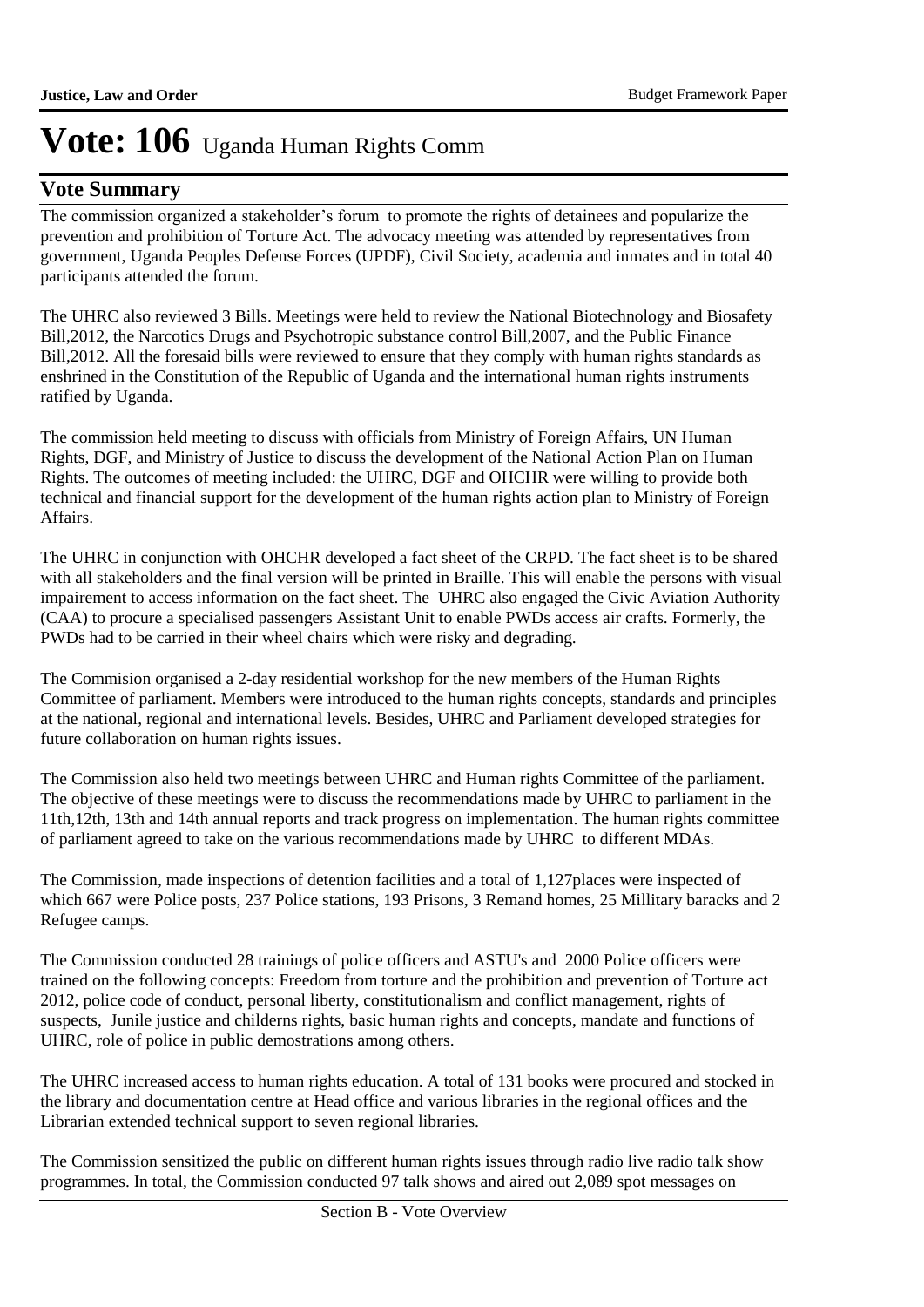### **Vote Summary**

The commission organized a stakeholder's forum to promote the rights of detainees and popularize the prevention and prohibition of Torture Act. The advocacy meeting was attended by representatives from government, Uganda Peoples Defense Forces (UPDF), Civil Society, academia and inmates and in total 40 participants attended the forum.

The UHRC also reviewed 3 Bills. Meetings were held to review the National Biotechnology and Biosafety Bill,2012, the Narcotics Drugs and Psychotropic substance control Bill,2007, and the Public Finance Bill,2012. All the foresaid bills were reviewed to ensure that they comply with human rights standards as enshrined in the Constitution of the Republic of Uganda and the international human rights instruments ratified by Uganda.

The commission held meeting to discuss with officials from Ministry of Foreign Affairs, UN Human Rights, DGF, and Ministry of Justice to discuss the development of the National Action Plan on Human Rights. The outcomes of meeting included: the UHRC, DGF and OHCHR were willing to provide both technical and financial support for the development of the human rights action plan to Ministry of Foreign Affairs.

The UHRC in conjunction with OHCHR developed a fact sheet of the CRPD. The fact sheet is to be shared with all stakeholders and the final version will be printed in Braille. This will enable the persons with visual impairement to access information on the fact sheet. The UHRC also engaged the Civic Aviation Authority (CAA) to procure a specialised passengers Assistant Unit to enable PWDs access air crafts. Formerly, the PWDs had to be carried in their wheel chairs which were risky and degrading.

The Commision organised a 2-day residential workshop for the new members of the Human Rights Committee of parliament. Members were introduced to the human rights concepts, standards and principles at the national, regional and international levels. Besides, UHRC and Parliament developed strategies for future collaboration on human rights issues.

The Commission also held two meetings between UHRC and Human rights Committee of the parliament. The objective of these meetings were to discuss the recommendations made by UHRC to parliament in the 11th,12th, 13th and 14th annual reports and track progress on implementation. The human rights committee of parliament agreed to take on the various recommendations made by UHRC to different MDAs.

The Commission, made inspections of detention facilities and a total of 1,127places were inspected of which 667 were Police posts, 237 Police stations, 193 Prisons, 3 Remand homes, 25 Millitary baracks and 2 Refugee camps.

The Commission conducted 28 trainings of police officers and ASTU's and 2000 Police officers were trained on the following concepts: Freedom from torture and the prohibition and prevention of Torture act 2012, police code of conduct, personal liberty, constitutionalism and conflict management, rights of suspects, Junile justice and childerns rights, basic human rights and concepts, mandate and functions of UHRC, role of police in public demostrations among others.

The UHRC increased access to human rights education. A total of 131 books were procured and stocked in the library and documentation centre at Head office and various libraries in the regional offices and the Librarian extended technical support to seven regional libraries.

The Commission sensitized the public on different human rights issues through radio live radio talk show programmes. In total, the Commission conducted 97 talk shows and aired out 2,089 spot messages on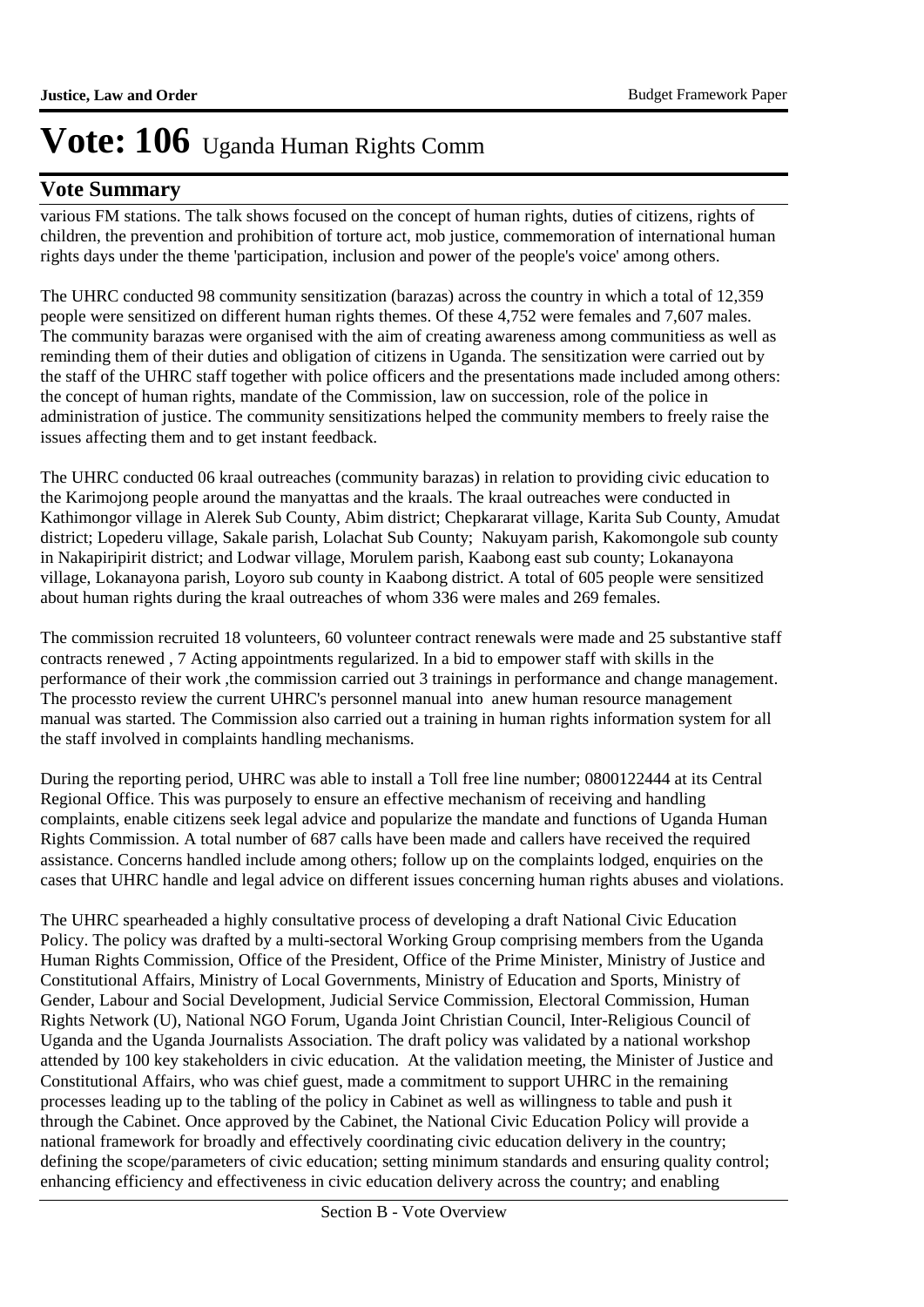### **Vote Summary**

various FM stations. The talk shows focused on the concept of human rights, duties of citizens, rights of children, the prevention and prohibition of torture act, mob justice, commemoration of international human rights days under the theme 'participation, inclusion and power of the people's voice' among others.

The UHRC conducted 98 community sensitization (barazas) across the country in which a total of 12,359 people were sensitized on different human rights themes. Of these 4,752 were females and 7,607 males. The community barazas were organised with the aim of creating awareness among communitiess as well as reminding them of their duties and obligation of citizens in Uganda. The sensitization were carried out by the staff of the UHRC staff together with police officers and the presentations made included among others: the concept of human rights, mandate of the Commission, law on succession, role of the police in administration of justice. The community sensitizations helped the community members to freely raise the issues affecting them and to get instant feedback.

The UHRC conducted 06 kraal outreaches (community barazas) in relation to providing civic education to the Karimojong people around the manyattas and the kraals. The kraal outreaches were conducted in Kathimongor village in Alerek Sub County, Abim district; Chepkararat village, Karita Sub County, Amudat district; Lopederu village, Sakale parish, Lolachat Sub County; Nakuyam parish, Kakomongole sub county in Nakapiripirit district; and Lodwar village, Morulem parish, Kaabong east sub county; Lokanayona village, Lokanayona parish, Loyoro sub county in Kaabong district. A total of 605 people were sensitized about human rights during the kraal outreaches of whom 336 were males and 269 females.

The commission recruited 18 volunteers, 60 volunteer contract renewals were made and 25 substantive staff contracts renewed , 7 Acting appointments regularized. In a bid to empower staff with skills in the performance of their work ,the commission carried out 3 trainings in performance and change management. The processto review the current UHRC's personnel manual into anew human resource management manual was started. The Commission also carried out a training in human rights information system for all the staff involved in complaints handling mechanisms.

During the reporting period, UHRC was able to install a Toll free line number; 0800122444 at its Central Regional Office. This was purposely to ensure an effective mechanism of receiving and handling complaints, enable citizens seek legal advice and popularize the mandate and functions of Uganda Human Rights Commission. A total number of 687 calls have been made and callers have received the required assistance. Concerns handled include among others; follow up on the complaints lodged, enquiries on the cases that UHRC handle and legal advice on different issues concerning human rights abuses and violations.

The UHRC spearheaded a highly consultative process of developing a draft National Civic Education Policy. The policy was drafted by a multi-sectoral Working Group comprising members from the Uganda Human Rights Commission, Office of the President, Office of the Prime Minister, Ministry of Justice and Constitutional Affairs, Ministry of Local Governments, Ministry of Education and Sports, Ministry of Gender, Labour and Social Development, Judicial Service Commission, Electoral Commission, Human Rights Network (U), National NGO Forum, Uganda Joint Christian Council, Inter-Religious Council of Uganda and the Uganda Journalists Association. The draft policy was validated by a national workshop attended by 100 key stakeholders in civic education. At the validation meeting, the Minister of Justice and Constitutional Affairs, who was chief guest, made a commitment to support UHRC in the remaining processes leading up to the tabling of the policy in Cabinet as well as willingness to table and push it through the Cabinet. Once approved by the Cabinet, the National Civic Education Policy will provide a national framework for broadly and effectively coordinating civic education delivery in the country; defining the scope/parameters of civic education; setting minimum standards and ensuring quality control; enhancing efficiency and effectiveness in civic education delivery across the country; and enabling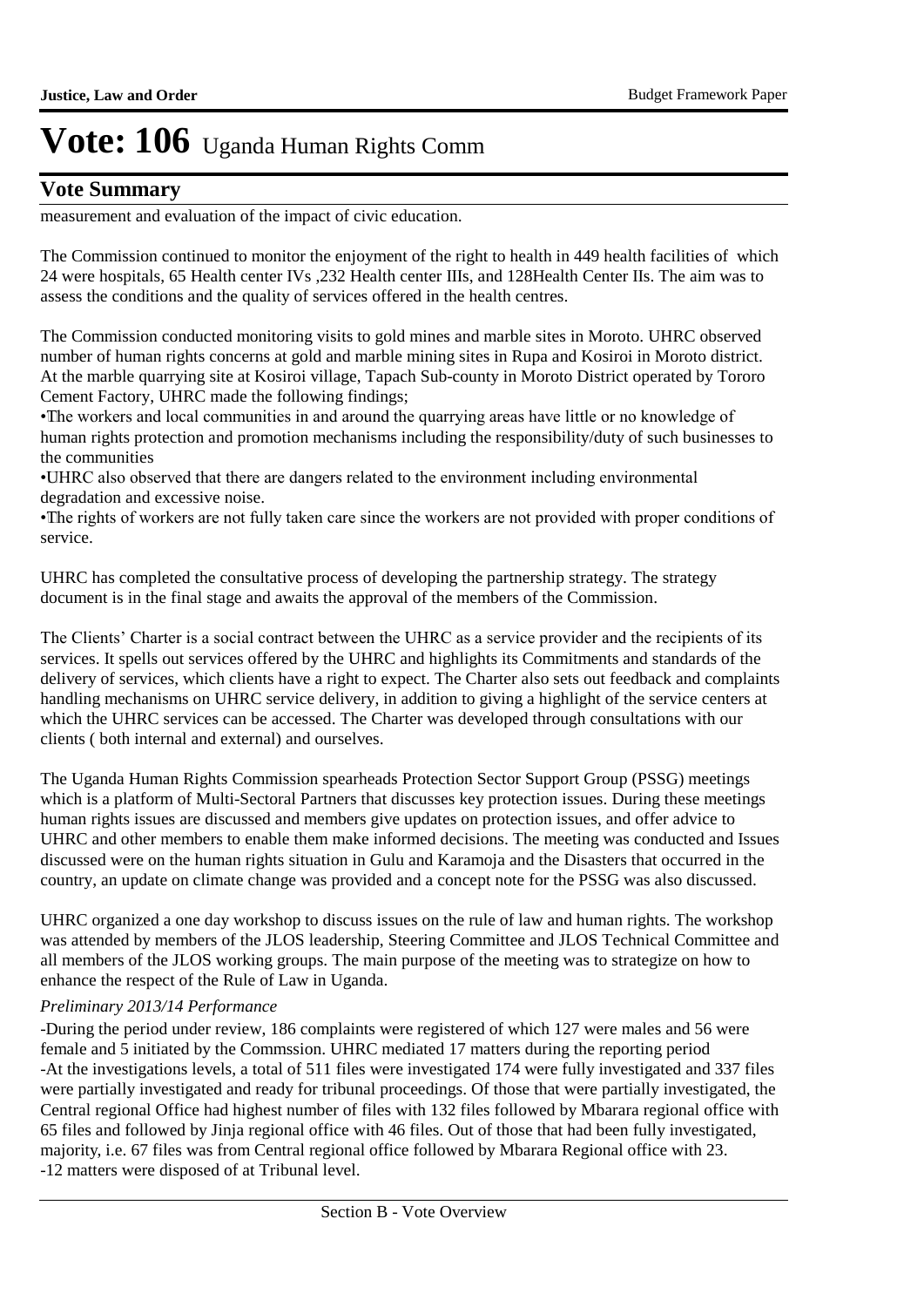## **Vote Summary**

measurement and evaluation of the impact of civic education.

The Commission continued to monitor the enjoyment of the right to health in 449 health facilities of which 24 were hospitals, 65 Health center IVs ,232 Health center IIIs, and 128Health Center IIs. The aim was to assess the conditions and the quality of services offered in the health centres.

The Commission conducted monitoring visits to gold mines and marble sites in Moroto. UHRC observed number of human rights concerns at gold and marble mining sites in Rupa and Kosiroi in Moroto district. At the marble quarrying site at Kosiroi village, Tapach Sub-county in Moroto District operated by Tororo Cement Factory, UHRC made the following findings;

• The workers and local communities in and around the quarrying areas have little or no knowledge of human rights protection and promotion mechanisms including the responsibility/duty of such businesses to the communities

• UHRC also observed that there are dangers related to the environment including environmental degradation and excessive noise.

• The rights of workers are not fully taken care since the workers are not provided with proper conditions of service.

UHRC has completed the consultative process of developing the partnership strategy. The strategy document is in the final stage and awaits the approval of the members of the Commission.

The Clients' Charter is a social contract between the UHRC as a service provider and the recipients of its services. It spells out services offered by the UHRC and highlights its Commitments and standards of the delivery of services, which clients have a right to expect. The Charter also sets out feedback and complaints handling mechanisms on UHRC service delivery, in addition to giving a highlight of the service centers at which the UHRC services can be accessed. The Charter was developed through consultations with our clients ( both internal and external) and ourselves.

The Uganda Human Rights Commission spearheads Protection Sector Support Group (PSSG) meetings which is a platform of Multi-Sectoral Partners that discusses key protection issues. During these meetings human rights issues are discussed and members give updates on protection issues, and offer advice to UHRC and other members to enable them make informed decisions. The meeting was conducted and Issues discussed were on the human rights situation in Gulu and Karamoja and the Disasters that occurred in the country, an update on climate change was provided and a concept note for the PSSG was also discussed.

UHRC organized a one day workshop to discuss issues on the rule of law and human rights. The workshop was attended by members of the JLOS leadership, Steering Committee and JLOS Technical Committee and all members of the JLOS working groups. The main purpose of the meeting was to strategize on how to enhance the respect of the Rule of Law in Uganda.

#### *Preliminary 2013/14 Performance*

-During the period under review, 186 complaints were registered of which 127 were males and 56 were female and 5 initiated by the Commssion. UHRC mediated 17 matters during the reporting period -At the investigations levels, a total of 511 files were investigated 174 were fully investigated and 337 files were partially investigated and ready for tribunal proceedings. Of those that were partially investigated, the Central regional Office had highest number of files with 132 files followed by Mbarara regional office with 65 files and followed by Jinja regional office with 46 files. Out of those that had been fully investigated, majority, i.e. 67 files was from Central regional office followed by Mbarara Regional office with 23. -12 matters were disposed of at Tribunal level.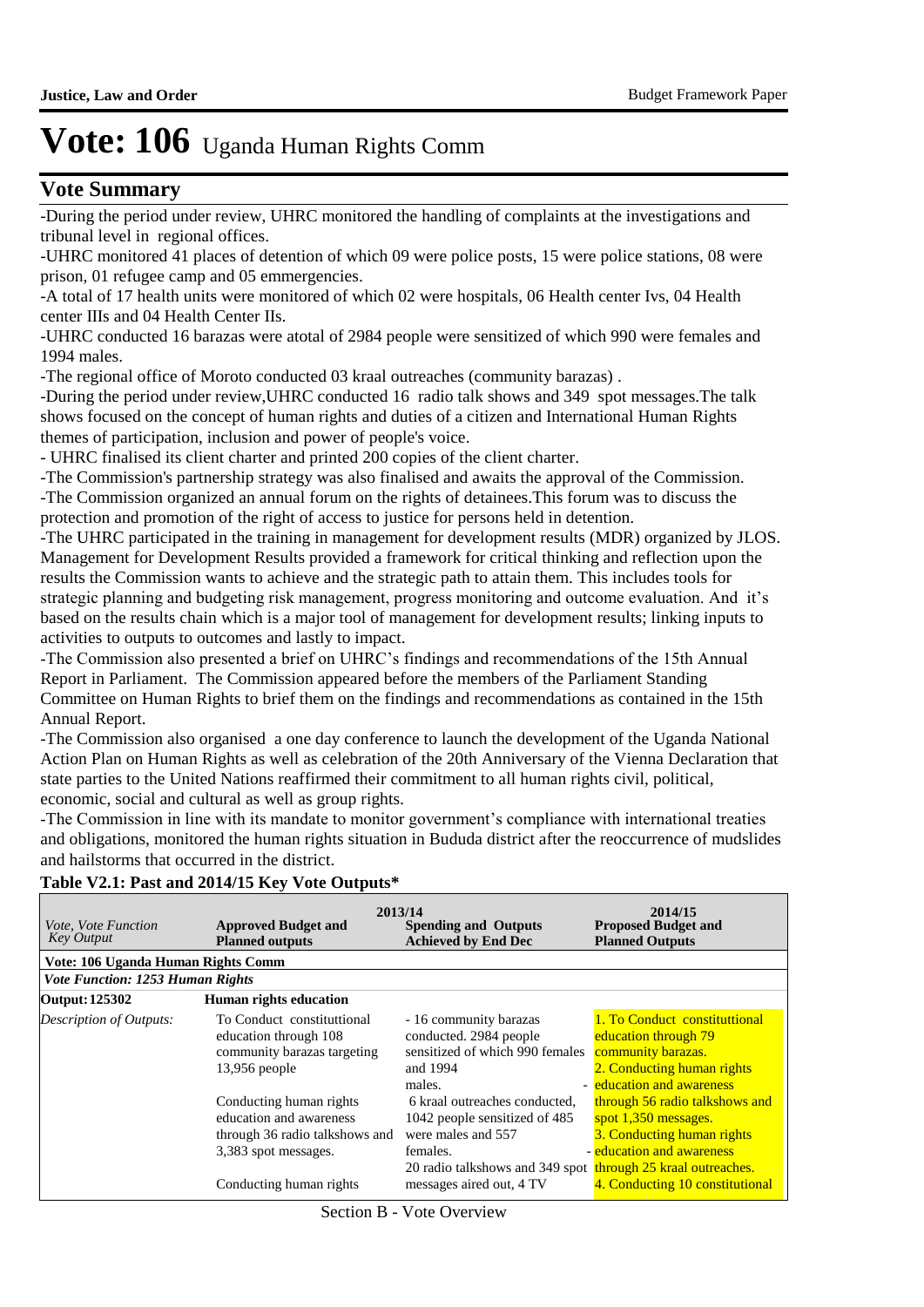### **Vote Summary**

-During the period under review, UHRC monitored the handling of complaints at the investigations and tribunal level in regional offices.

-UHRC monitored 41 places of detention of which 09 were police posts, 15 were police stations, 08 were prison, 01 refugee camp and 05 emmergencies.

-A total of 17 health units were monitored of which 02 were hospitals, 06 Health center Ivs, 04 Health center IIIs and 04 Health Center IIs.

-UHRC conducted 16 barazas were atotal of 2984 people were sensitized of which 990 were females and 1994 males.

-The regional office of Moroto conducted 03 kraal outreaches (community barazas) .

-During the period under review,UHRC conducted 16 radio talk shows and 349 spot messages.The talk shows focused on the concept of human rights and duties of a citizen and International Human Rights themes of participation, inclusion and power of people's voice.

- UHRC finalised its client charter and printed 200 copies of the client charter.

-The Commission's partnership strategy was also finalised and awaits the approval of the Commission. -The Commission organized an annual forum on the rights of detainees.This forum was to discuss the

protection and promotion of the right of access to justice for persons held in detention.

-The UHRC participated in the training in management for development results (MDR) organized by JLOS. Management for Development Results provided a framework for critical thinking and reflection upon the results the Commission wants to achieve and the strategic path to attain them. This includes tools for strategic planning and budgeting risk management, progress monitoring and outcome evaluation. And it's based on the results chain which is a major tool of management for development results; linking inputs to activities to outputs to outcomes and lastly to impact.

-The Commission also presented a brief on UHRC's findings and recommendations of the 15th Annual Report in Parliament. The Commission appeared before the members of the Parliament Standing Committee on Human Rights to brief them on the findings and recommendations as contained in the 15th Annual Report.

-The Commission also organised a one day conference to launch the development of the Uganda National Action Plan on Human Rights as well as celebration of the 20th Anniversary of the Vienna Declaration that state parties to the United Nations reaffirmed their commitment to all human rights civil, political, economic, social and cultural as well as group rights.

-The Commission in line with its mandate to monitor government's compliance with international treaties and obligations, monitored the human rights situation in Bududa district after the reoccurrence of mudslides and hailstorms that occurred in the district.

| <i>Vote, Vote Function</i><br><b>Key Output</b> | <b>Approved Budget and</b><br><b>Planned outputs</b>                                                                                    | 2013/14<br><b>Spending and Outputs</b><br><b>Achieved by End Dec</b>                                                                                                                         | 2014/15<br><b>Proposed Budget and</b><br><b>Planned Outputs</b>                                                                                      |
|-------------------------------------------------|-----------------------------------------------------------------------------------------------------------------------------------------|----------------------------------------------------------------------------------------------------------------------------------------------------------------------------------------------|------------------------------------------------------------------------------------------------------------------------------------------------------|
| Vote: 106 Uganda Human Rights Comm              |                                                                                                                                         |                                                                                                                                                                                              |                                                                                                                                                      |
| <b>Vote Function: 1253 Human Rights</b>         |                                                                                                                                         |                                                                                                                                                                                              |                                                                                                                                                      |
| Output: 125302                                  | <b>Human rights education</b>                                                                                                           |                                                                                                                                                                                              |                                                                                                                                                      |
| <b>Description of Outputs:</b>                  | To Conduct constituttional<br>education through 108<br>community barazas targeting<br>$13,956$ people                                   | - 16 community barazas<br>conducted. 2984 people<br>sensitized of which 990 females<br>and 1994<br>males.                                                                                    | 1. To Conduct constituttional<br>education through 79<br>community barazas.<br>2. Conducting human rights<br>- education and awareness               |
|                                                 | Conducting human rights<br>education and awareness<br>through 36 radio talkshows and<br>3,383 spot messages.<br>Conducting human rights | 6 kraal outreaches conducted,<br>1042 people sensitized of 485<br>were males and 557<br>females.<br>20 radio talkshows and 349 spot through 25 kraal outreaches.<br>messages aired out, 4 TV | through 56 radio talkshows and<br>spot 1,350 messages.<br>3. Conducting human rights<br>- education and awareness<br>4. Conducting 10 constitutional |

#### **Table V2.1: Past and 2014/15 Key Vote Outputs\***

Section B - Vote Overview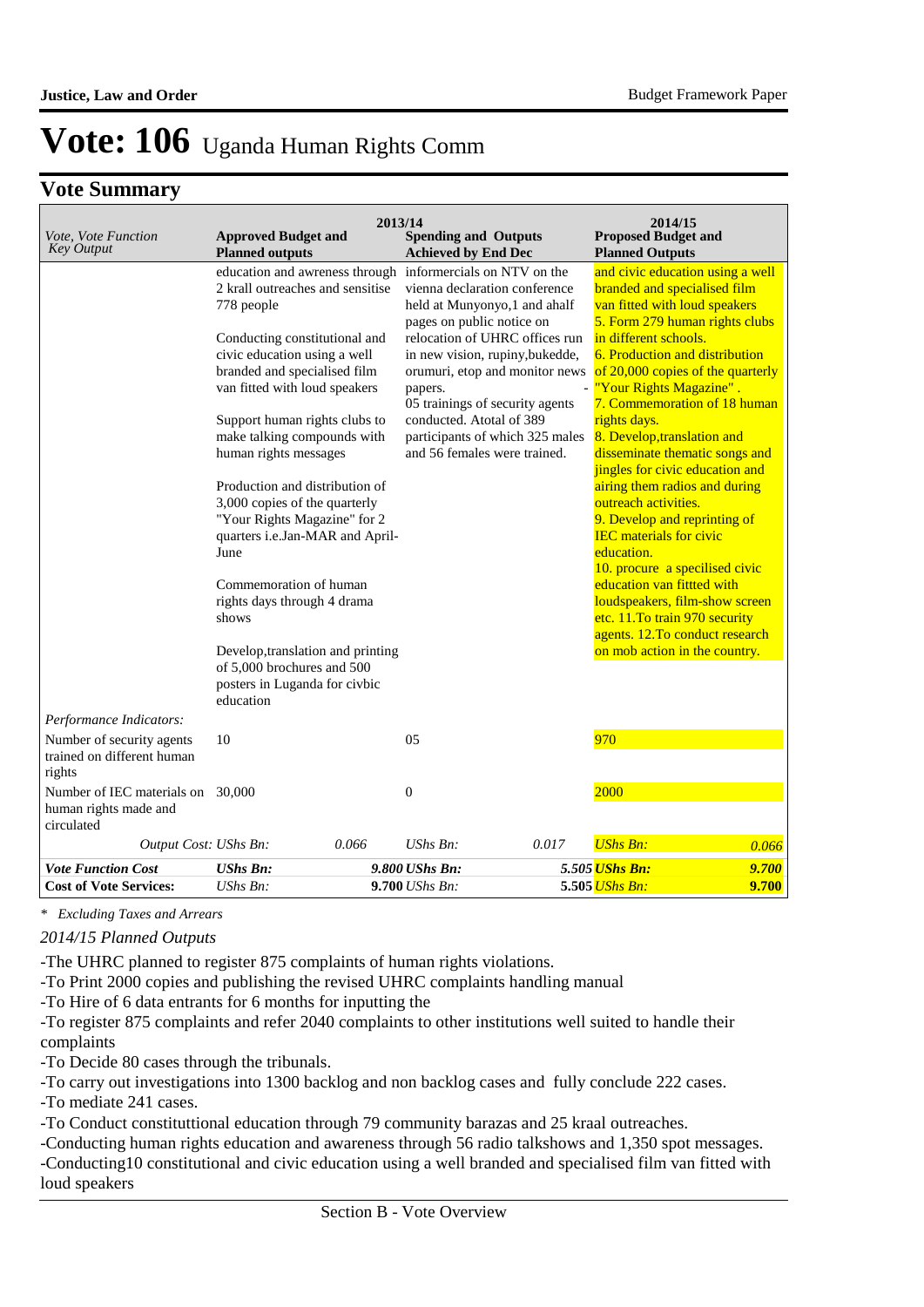### **Vote Summary**

| Vote, Vote Function<br><b>Key Output</b>                                                     | <b>Approved Budget and</b><br><b>Planned outputs</b>                                                                                       | 2013/14 | <b>Spending and Outputs</b><br><b>Achieved by End Dec</b>                                                                                                |       | 2014/15<br><b>Proposed Budget and</b><br><b>Planned Outputs</b>                                                                                                               |                |
|----------------------------------------------------------------------------------------------|--------------------------------------------------------------------------------------------------------------------------------------------|---------|----------------------------------------------------------------------------------------------------------------------------------------------------------|-------|-------------------------------------------------------------------------------------------------------------------------------------------------------------------------------|----------------|
|                                                                                              | 2 krall outreaches and sensitise<br>778 people                                                                                             |         | education and awreness through informercials on NTV on the<br>vienna declaration conference<br>held at Munyonyo,1 and ahalf<br>pages on public notice on |       | and civic education using a well<br>branded and specialised film<br>van fitted with loud speakers<br>5. Form 279 human rights clubs                                           |                |
|                                                                                              | Conducting constitutional and<br>civic education using a well<br>branded and specialised film<br>van fitted with loud speakers             |         | relocation of UHRC offices run<br>in new vision, rupiny, bukedde,<br>orumuri, etop and monitor news<br>papers.<br>05 trainings of security agents        |       | in different schools.<br><b>6. Production and distribution</b><br>of 20,000 copies of the quarterly<br>- <mark>"Your Rights Magazine".</mark><br>7. Commemoration of 18 human |                |
|                                                                                              | Support human rights clubs to<br>make talking compounds with<br>human rights messages                                                      |         | conducted. Atotal of 389<br>participants of which 325 males<br>and 56 females were trained.                                                              |       | rights days.<br>8. Develop, translation and<br>disseminate thematic songs and<br>jingles for civic education and                                                              |                |
|                                                                                              | Production and distribution of<br>3,000 copies of the quarterly<br>"Your Rights Magazine" for 2<br>quarters i.e.Jan-MAR and April-<br>June |         |                                                                                                                                                          |       | airing them radios and during<br>outreach activities.<br>9. Develop and reprinting of<br><b>IEC</b> materials for civic<br>education.                                         |                |
|                                                                                              | Commemoration of human<br>rights days through 4 drama<br>shows                                                                             |         |                                                                                                                                                          |       | 10. procure a specilised civic<br>education van fittted with<br>loudspeakers, film-show screen<br>etc. 11. To train 970 security<br>agents. 12. To conduct research           |                |
|                                                                                              | Develop, translation and printing<br>of 5,000 brochures and 500<br>posters in Luganda for civbic<br>education                              |         |                                                                                                                                                          |       | on mob action in the country.                                                                                                                                                 |                |
| Performance Indicators:<br>Number of security agents<br>trained on different human<br>rights | 10                                                                                                                                         |         | 05                                                                                                                                                       |       | 970                                                                                                                                                                           |                |
| Number of IEC materials on 30,000<br>human rights made and<br>circulated                     |                                                                                                                                            |         | $\mathbf{0}$                                                                                                                                             |       | 2000                                                                                                                                                                          |                |
| Output Cost: UShs Bn:                                                                        | 0.066                                                                                                                                      |         | UShs Bn:                                                                                                                                                 | 0.017 | <b>UShs Bn:</b>                                                                                                                                                               | 0.066          |
| <b>Vote Function Cost</b><br><b>Cost of Vote Services:</b>                                   | <b>UShs Bn:</b><br><b>UShs Bn:</b>                                                                                                         |         | 9.800 UShs Bn:<br>9.700 UShs Bn:                                                                                                                         |       | 5.505 UShs Bn:<br>5.505 UShs Bn:                                                                                                                                              | 9.700<br>9.700 |

*\* Excluding Taxes and Arrears*

#### *2014/15 Planned Outputs*

-The UHRC planned to register 875 complaints of human rights violations.

-To Print 2000 copies and publishing the revised UHRC complaints handling manual

-To Hire of 6 data entrants for 6 months for inputting the

-To register 875 complaints and refer 2040 complaints to other institutions well suited to handle their complaints

-To Decide 80 cases through the tribunals.

-To carry out investigations into 1300 backlog and non backlog cases and fully conclude 222 cases.

-To mediate 241 cases.

-To Conduct constituttional education through 79 community barazas and 25 kraal outreaches.

-Conducting human rights education and awareness through 56 radio talkshows and 1,350 spot messages. -Conducting10 constitutional and civic education using a well branded and specialised film van fitted with loud speakers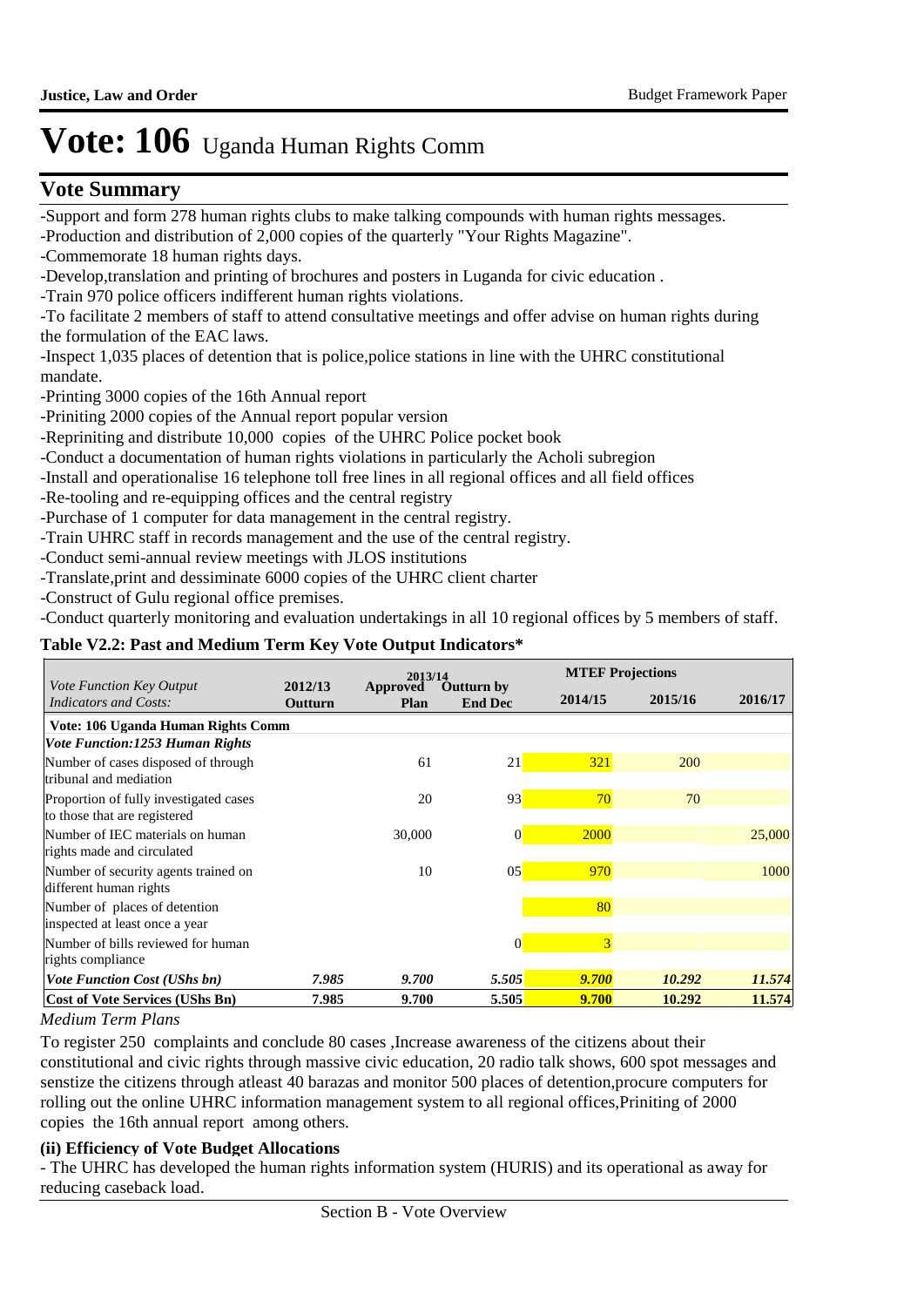## **Vote Summary**

-Support and form 278 human rights clubs to make talking compounds with human rights messages. -Production and distribution of 2,000 copies of the quarterly "Your Rights Magazine".

-Commemorate 18 human rights days.

-Develop,translation and printing of brochures and posters in Luganda for civic education .

-Train 970 police officers indifferent human rights violations.

-To facilitate 2 members of staff to attend consultative meetings and offer advise on human rights during the formulation of the EAC laws.

-Inspect 1,035 places of detention that is police,police stations in line with the UHRC constitutional mandate.

-Printing 3000 copies of the 16th Annual report

-Priniting 2000 copies of the Annual report popular version

-Repriniting and distribute 10,000 copies of the UHRC Police pocket book

-Conduct a documentation of human rights violations in particularly the Acholi subregion

-Install and operationalise 16 telephone toll free lines in all regional offices and all field offices

-Re-tooling and re-equipping offices and the central registry

-Purchase of 1 computer for data management in the central registry.

-Train UHRC staff in records management and the use of the central registry.

-Conduct semi-annual review meetings with JLOS institutions

-Translate,print and dessiminate 6000 copies of the UHRC client charter

-Construct of Gulu regional office premises.

-Conduct quarterly monitoring and evaluation undertakings in all 10 regional offices by 5 members of staff.

#### **Table V2.2: Past and Medium Term Key Vote Output Indicators\***

|                                                                |                    | 2013/14          |                                     |         | <b>MTEF Projections</b> |         |
|----------------------------------------------------------------|--------------------|------------------|-------------------------------------|---------|-------------------------|---------|
| Vote Function Key Output<br><b>Indicators and Costs:</b>       | 2012/13<br>Outturn | Approved<br>Plan | <b>Outturn by</b><br><b>End Dec</b> | 2014/15 | 2015/16                 | 2016/17 |
| Vote: 106 Uganda Human Rights Comm                             |                    |                  |                                     |         |                         |         |
| <b>Vote Function:1253 Human Rights</b>                         |                    |                  |                                     |         |                         |         |
| Number of cases disposed of through                            |                    | 61               | 21                                  | 321     | 200                     |         |
| tribunal and mediation                                         |                    |                  |                                     |         |                         |         |
| Proportion of fully investigated cases                         |                    | 20               | 93                                  | 70      | 70                      |         |
| to those that are registered                                   |                    |                  |                                     |         |                         |         |
| Number of IEC materials on human<br>rights made and circulated |                    | 30,000           | $\vert 0 \vert$                     | 2000    |                         | 25,000  |
| Number of security agents trained on                           |                    | 10               | 05                                  | 970     |                         | 1000    |
| different human rights                                         |                    |                  |                                     |         |                         |         |
| Number of places of detention                                  |                    |                  |                                     | 80      |                         |         |
| inspected at least once a year                                 |                    |                  |                                     |         |                         |         |
| Number of bills reviewed for human                             |                    |                  | $\Omega$                            | 3       |                         |         |
| rights compliance                                              |                    |                  |                                     |         |                         |         |
| <b>Vote Function Cost (UShs bn)</b>                            | 7.985              | 9.700            | 5.505                               | 9.700   | 10.292                  | 11.574  |
| Cost of Vote Services (UShs Bn)                                | 7.985              | 9.700            | 5.505                               | 9.700   | 10.292                  | 11.574  |

#### *Medium Term Plans*

To register 250 complaints and conclude 80 cases ,Increase awareness of the citizens about their constitutional and civic rights through massive civic education, 20 radio talk shows, 600 spot messages and senstize the citizens through atleast 40 barazas and monitor 500 places of detention,procure computers for rolling out the online UHRC information management system to all regional offices,Priniting of 2000 copies the 16th annual report among others.

#### **(ii) Efficiency of Vote Budget Allocations**

- The UHRC has developed the human rights information system (HURIS) and its operational as away for reducing caseback load.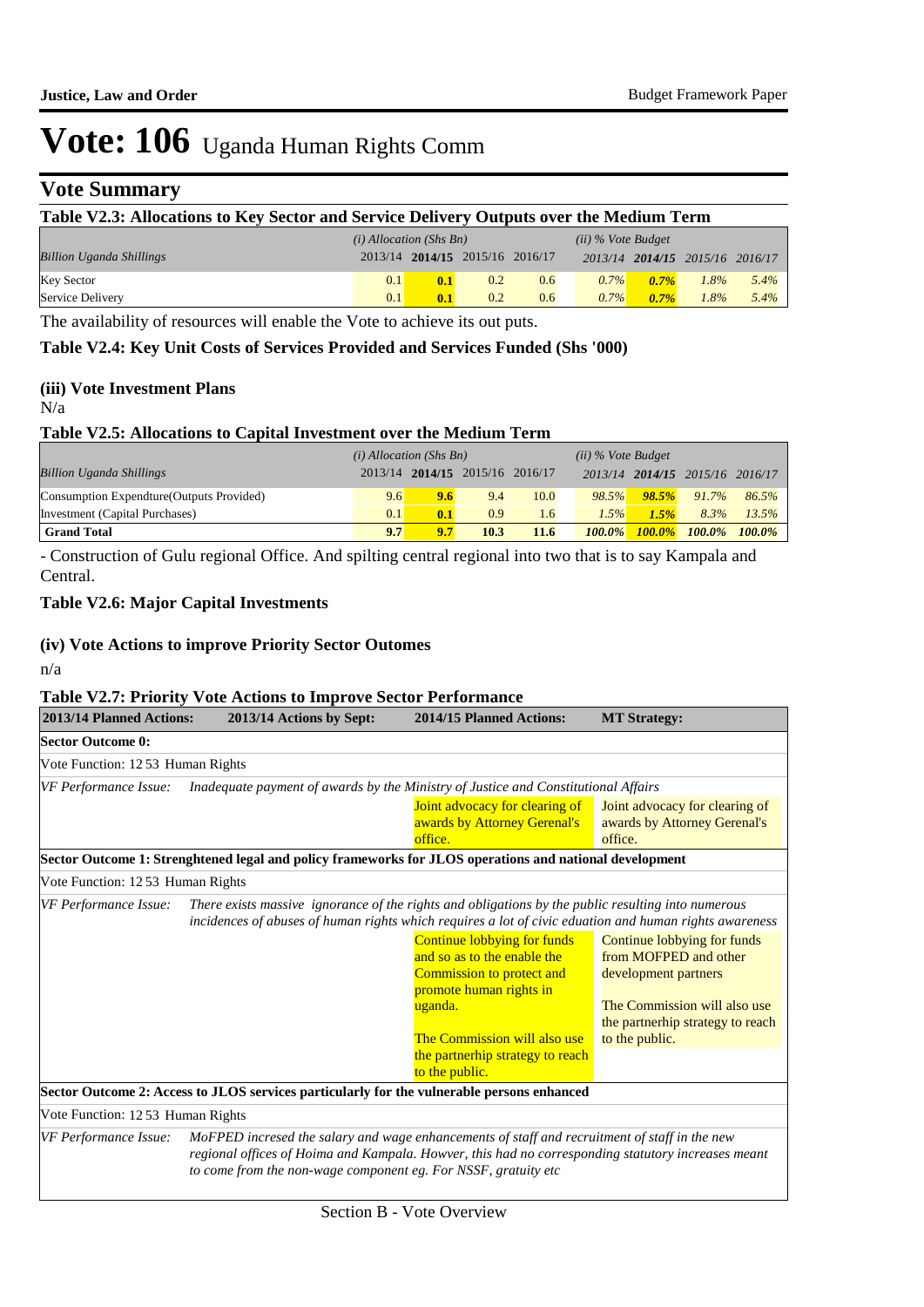## **Vote Summary**

| Table V2.3: Allocations to Key Sector and Service Delivery Outputs over the Medium Term |     |                                 |     |     |         |         |                                 |         |
|-----------------------------------------------------------------------------------------|-----|---------------------------------|-----|-----|---------|---------|---------------------------------|---------|
| $(i)$ Allocation (Shs Bn)<br>$(ii)$ % Vote Budget                                       |     |                                 |     |     |         |         |                                 |         |
| <b>Billion Uganda Shillings</b>                                                         |     | 2013/14 2014/15 2015/16 2016/17 |     |     |         |         | 2013/14 2014/15 2015/16 2016/17 |         |
| <b>Key Sector</b>                                                                       | 0.1 | 0.1                             | 0.2 | 0.6 | $0.7\%$ | $0.7\%$ | 1.8%                            | $5.4\%$ |
| Service Delivery                                                                        | 0.1 | 0.1                             | 0.2 | 0.6 | $0.7\%$ | $0.7\%$ | 1.8%                            | $5.4\%$ |

The availability of resources will enable the Vote to achieve its out puts.

#### **Table V2.4: Key Unit Costs of Services Provided and Services Funded (Shs '000)**

#### **(iii) Vote Investment Plans**

#### N/a

#### **Table V2.5: Allocations to Capital Investment over the Medium Term**

|                                           | $(i)$ Allocation (Shs Bn) |     |                                 | $(ii)$ % Vote Budget |           |       |                                 |           |
|-------------------------------------------|---------------------------|-----|---------------------------------|----------------------|-----------|-------|---------------------------------|-----------|
| <b>Billion Uganda Shillings</b>           |                           |     | 2013/14 2014/15 2015/16 2016/17 |                      |           |       | 2013/14 2014/15 2015/16 2016/17 |           |
| Consumption Expendture (Outputs Provided) | 9.6                       | 9.6 | 9.4                             | 10.0                 | 98.5%     | 98.5% | 91.7%                           | 86.5%     |
| Investment (Capital Purchases)            | 0.1                       | 0.1 | 0.9                             | $1.6^{\circ}$        | 1.5%      | 1.5%  | 8.3%                            | 13.5%     |
| <b>Grand Total</b>                        | 9.7                       | 9.7 | 10.3                            | 11.6                 | $100.0\%$ |       | $100.0\%$ $100.0\%$             | $100.0\%$ |

- Construction of Gulu regional Office. And spilting central regional into two that is to say Kampala and Central.

### **Table V2.6: Major Capital Investments**

#### **(iv) Vote Actions to improve Priority Sector Outomes**

n/a

#### **Table V2.7: Priority Vote Actions to Improve Sector Performance**

| 2013/14 Planned Actions:                                                                                                                                                                                                              | 2013/14 Actions by Sept: |  | 2014/15 Planned Actions:                                                                                                                                                                                                                                              | <b>MT Strategy:</b>                                                                                                                                                |
|---------------------------------------------------------------------------------------------------------------------------------------------------------------------------------------------------------------------------------------|--------------------------|--|-----------------------------------------------------------------------------------------------------------------------------------------------------------------------------------------------------------------------------------------------------------------------|--------------------------------------------------------------------------------------------------------------------------------------------------------------------|
| <b>Sector Outcome 0:</b>                                                                                                                                                                                                              |                          |  |                                                                                                                                                                                                                                                                       |                                                                                                                                                                    |
| Vote Function: 12 53 Human Rights                                                                                                                                                                                                     |                          |  |                                                                                                                                                                                                                                                                       |                                                                                                                                                                    |
| VF Performance Issue:                                                                                                                                                                                                                 |                          |  | Inadequate payment of awards by the Ministry of Justice and Constitutional Affairs                                                                                                                                                                                    |                                                                                                                                                                    |
|                                                                                                                                                                                                                                       |                          |  | Joint advocacy for clearing of<br>awards by Attorney Gerenal's<br>office.                                                                                                                                                                                             | Joint advocacy for clearing of<br>awards by Attorney Gerenal's<br>office.                                                                                          |
|                                                                                                                                                                                                                                       |                          |  | Sector Outcome 1: Strenghtened legal and policy frameworks for JLOS operations and national development                                                                                                                                                               |                                                                                                                                                                    |
| Vote Function: 1253 Human Rights                                                                                                                                                                                                      |                          |  |                                                                                                                                                                                                                                                                       |                                                                                                                                                                    |
| VF Performance Issue:<br>There exists massive ignorance of the rights and obligations by the public resulting into numerous<br>incidences of abuses of human rights which requires a lot of civic eduation and human rights awareness |                          |  |                                                                                                                                                                                                                                                                       |                                                                                                                                                                    |
|                                                                                                                                                                                                                                       |                          |  | Continue lobbying for funds<br>and so as to the enable the<br>Commission to protect and<br>promote human rights in<br>uganda.<br>The Commission will also use<br>the partnerhip strategy to reach<br>to the public.                                                   | Continue lobbying for funds<br>from MOFPED and other<br>development partners<br>The Commission will also use<br>the partnerhip strategy to reach<br>to the public. |
|                                                                                                                                                                                                                                       |                          |  | Sector Outcome 2: Access to JLOS services particularly for the vulnerable persons enhanced                                                                                                                                                                            |                                                                                                                                                                    |
| Vote Function: 1253 Human Rights                                                                                                                                                                                                      |                          |  |                                                                                                                                                                                                                                                                       |                                                                                                                                                                    |
| VF Performance Issue:                                                                                                                                                                                                                 |                          |  | MoFPED incresed the salary and wage enhancements of staff and recruitment of staff in the new<br>regional offices of Hoima and Kampala. Howver, this had no corresponding statutory increases meant<br>to come from the non-wage component eg. For NSSF, gratuity etc |                                                                                                                                                                    |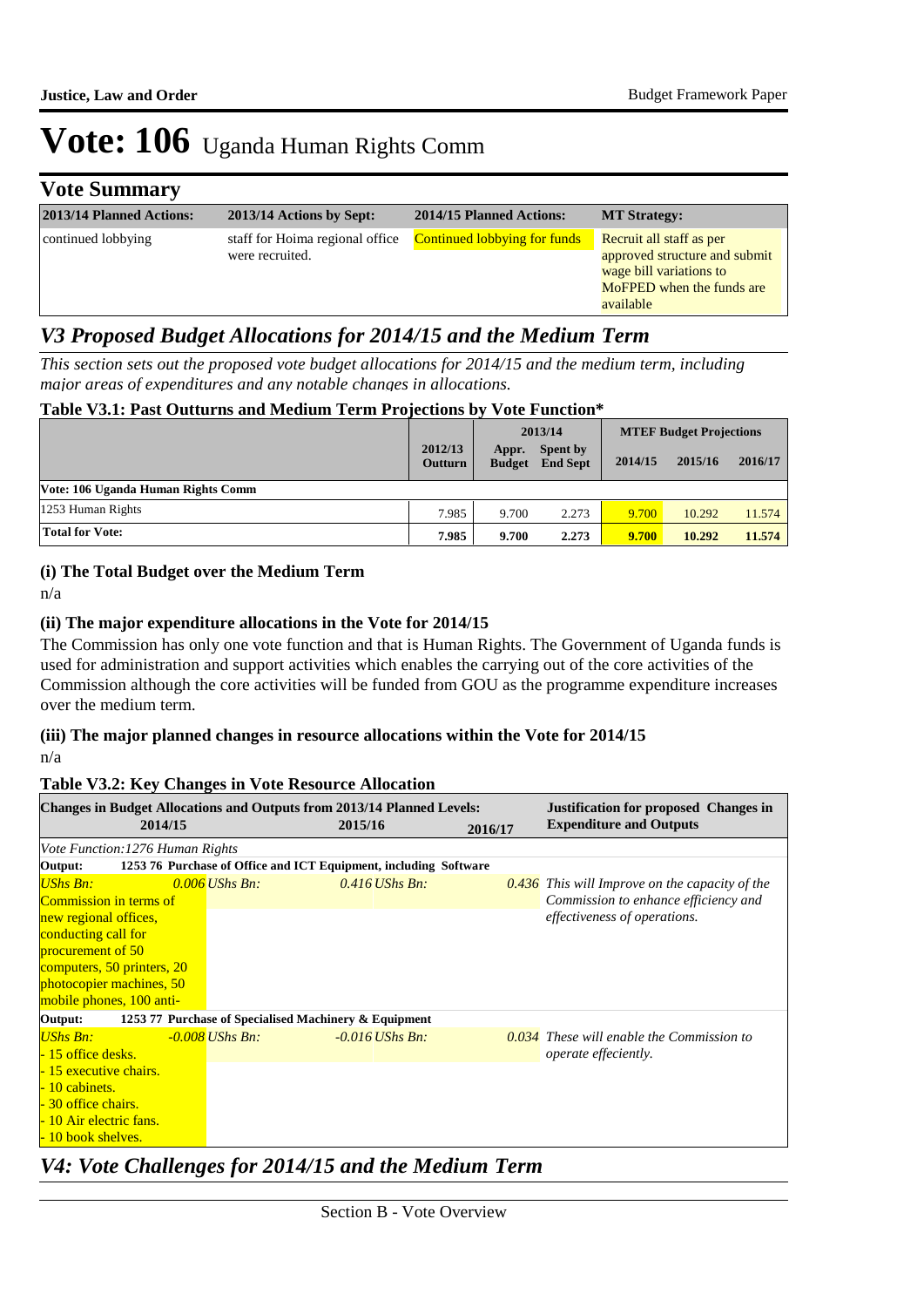## **Vote Summary**

| 2013/14 Planned Actions: | 2013/14 Actions by Sept:                           | 2014/15 Planned Actions:            | <b>MT Strategy:</b>                                                                                                            |
|--------------------------|----------------------------------------------------|-------------------------------------|--------------------------------------------------------------------------------------------------------------------------------|
| continued lobbying       | staff for Hoima regional office<br>were recruited. | <b>Continued lobbying for funds</b> | Recruit all staff as per<br>approved structure and submit<br>wage bill variations to<br>MoFPED when the funds are<br>available |

## *V3 Proposed Budget Allocations for 2014/15 and the Medium Term*

*This section sets out the proposed vote budget allocations for 2014/15 and the medium term, including major areas of expenditures and any notable changes in allocations.* 

#### **Table V3.1: Past Outturns and Medium Term Projections by Vote Function\***

|                                    |                           |                        | 2013/14                            |         | <b>MTEF Budget Projections</b> |         |
|------------------------------------|---------------------------|------------------------|------------------------------------|---------|--------------------------------|---------|
|                                    | 2012/13<br><b>Outturn</b> | Appr.<br><b>Budget</b> | <b>Spent by</b><br><b>End Sept</b> | 2014/15 | 2015/16                        | 2016/17 |
| Vote: 106 Uganda Human Rights Comm |                           |                        |                                    |         |                                |         |
| 1253 Human Rights                  | 7.985                     | 9.700                  | 2.273                              | 9.700   | 10.292                         | 11.574  |
| <b>Total for Vote:</b>             | 7.985                     | 9.700                  | 2.273                              | 9.700   | 10.292                         | 11.574  |

#### **(i) The Total Budget over the Medium Term**

n/a

#### **(ii) The major expenditure allocations in the Vote for 2014/15**

The Commission has only one vote function and that is Human Rights. The Government of Uganda funds is used for administration and support activities which enables the carrying out of the core activities of the Commission although the core activities will be funded from GOU as the programme expenditure increases over the medium term.

#### **(iii) The major planned changes in resource allocations within the Vote for 2014/15** n/a

#### **Table V3.2: Key Changes in Vote Resource Allocation**

| <b>Changes in Budget Allocations and Outputs from 2013/14 Planned Levels:</b> |                                                       |                                                                  |         | <b>Justification for proposed Changes in</b>     |
|-------------------------------------------------------------------------------|-------------------------------------------------------|------------------------------------------------------------------|---------|--------------------------------------------------|
| 2014/15                                                                       |                                                       | 2015/16                                                          | 2016/17 | <b>Expenditure and Outputs</b>                   |
| Vote Function: 1276 Human Rights                                              |                                                       |                                                                  |         |                                                  |
| Output:                                                                       |                                                       | 1253 76 Purchase of Office and ICT Equipment, including Software |         |                                                  |
| <b>UShs Bn:</b>                                                               | $0.006$ UShs Bn:                                      | $0.416$ UShs Bn:                                                 |         | $0.436$ This will Improve on the capacity of the |
| Commission in terms of                                                        |                                                       |                                                                  |         | Commission to enhance efficiency and             |
| new regional offices,                                                         |                                                       |                                                                  |         | effectiveness of operations.                     |
| conducting call for                                                           |                                                       |                                                                  |         |                                                  |
| procurement of 50                                                             |                                                       |                                                                  |         |                                                  |
| computers, 50 printers, 20                                                    |                                                       |                                                                  |         |                                                  |
| photocopier machines, 50                                                      |                                                       |                                                                  |         |                                                  |
| mobile phones, 100 anti-                                                      |                                                       |                                                                  |         |                                                  |
| Output:                                                                       | 1253 77 Purchase of Specialised Machinery & Equipment |                                                                  |         |                                                  |
| <b>UShs Bn:</b>                                                               | $-0.008$ UShs Bn:                                     | $-0.016$ UShs Bn:                                                |         | $0.034$ These will enable the Commission to      |
| - 15 office desks.                                                            |                                                       |                                                                  |         | <i>operate effeciently.</i>                      |
| - 15 executive chairs.                                                        |                                                       |                                                                  |         |                                                  |
| - 10 cabinets.                                                                |                                                       |                                                                  |         |                                                  |
| - 30 office chairs.                                                           |                                                       |                                                                  |         |                                                  |
| - 10 Air electric fans.                                                       |                                                       |                                                                  |         |                                                  |
| - 10 book shelves.                                                            |                                                       |                                                                  |         |                                                  |

## *V4: Vote Challenges for 2014/15 and the Medium Term*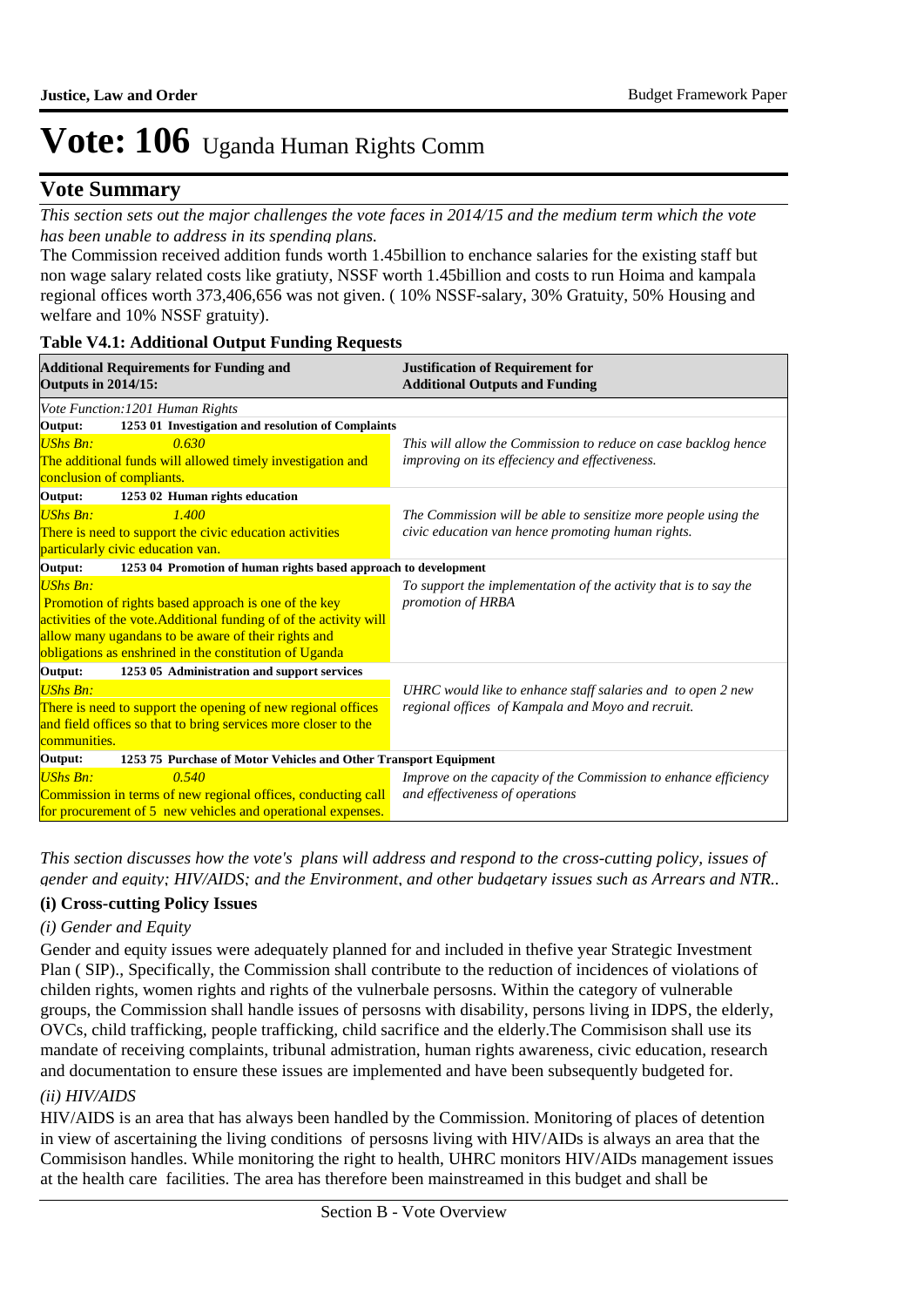## **Vote Summary**

*This section sets out the major challenges the vote faces in 2014/15 and the medium term which the vote has been unable to address in its spending plans.*

The Commission received addition funds worth 1.45billion to enchance salaries for the existing staff but non wage salary related costs like gratiuty, NSSF worth 1.45billion and costs to run Hoima and kampala regional offices worth 373,406,656 was not given. ( 10% NSSF-salary, 30% Gratuity, 50% Housing and welfare and 10% NSSF gratuity).

### **Table V4.1: Additional Output Funding Requests**

| <b>Additional Requirements for Funding and</b><br><b>Outputs in 2014/15:</b>            | <b>Justification of Requirement for</b><br><b>Additional Outputs and Funding</b> |
|-----------------------------------------------------------------------------------------|----------------------------------------------------------------------------------|
| Vote Function: 1201 Human Rights                                                        |                                                                                  |
| 1253 01 Investigation and resolution of Complaints<br>Output:                           |                                                                                  |
| 0.630<br><b>UShs Bn:</b>                                                                | This will allow the Commission to reduce on case backlog hence                   |
| The additional funds will allowed timely investigation and<br>conclusion of compliants. | improving on its effeciency and effectiveness.                                   |
| Output:<br>1253 02 Human rights education                                               |                                                                                  |
| 1.400<br><b>UShs Bn:</b>                                                                | The Commission will be able to sensitize more people using the                   |
| There is need to support the civic education activities                                 | civic education van hence promoting human rights.                                |
| particularly civic education van.                                                       |                                                                                  |
| 1253 04 Promotion of human rights based approach to development<br>Output:              |                                                                                  |
| <b>UShs Bn:</b>                                                                         | To support the implementation of the activity that is to say the                 |
| Promotion of rights based approach is one of the key                                    | promotion of HRBA                                                                |
| activities of the vote. Additional funding of of the activity will                      |                                                                                  |
| allow many ugandans to be aware of their rights and                                     |                                                                                  |
| obligations as enshrined in the constitution of Uganda                                  |                                                                                  |
| 1253 05 Administration and support services<br>Output:                                  |                                                                                  |
| <b>UShs Bn:</b>                                                                         | UHRC would like to enhance staff salaries and to open 2 new                      |
| There is need to support the opening of new regional offices                            | regional offices of Kampala and Moyo and recruit.                                |
| and field offices so that to bring services more closer to the                          |                                                                                  |
| communities.                                                                            |                                                                                  |
| Output:<br>1253 75 Purchase of Motor Vehicles and Other Transport Equipment             |                                                                                  |
| <b>UShs Bn:</b><br>0.540                                                                | Improve on the capacity of the Commission to enhance efficiency                  |
| Commission in terms of new regional offices, conducting call                            | and effectiveness of operations                                                  |
| for procurement of 5 new vehicles and operational expenses.                             |                                                                                  |

*This section discusses how the vote's plans will address and respond to the cross-cutting policy, issues of gender and equity; HIV/AIDS; and the Environment, and other budgetary issues such as Arrears and NTR..* 

### **(i) Cross-cutting Policy Issues**

#### *(i) Gender and Equity*

Gender and equity issues were adequately planned for and included in thefive year Strategic Investment Plan ( SIP)., Specifically, the Commission shall contribute to the reduction of incidences of violations of childen rights, women rights and rights of the vulnerbale persosns. Within the category of vulnerable groups, the Commission shall handle issues of persosns with disability, persons living in IDPS, the elderly, OVCs, child trafficking, people trafficking, child sacrifice and the elderly.The Commisison shall use its mandate of receiving complaints, tribunal admistration, human rights awareness, civic education, research and documentation to ensure these issues are implemented and have been subsequently budgeted for.

#### *(ii) HIV/AIDS*

HIV/AIDS is an area that has always been handled by the Commission. Monitoring of places of detention in view of ascertaining the living conditions of persosns living with HIV/AIDs is always an area that the Commisison handles. While monitoring the right to health, UHRC monitors HIV/AIDs management issues at the health care facilities. The area has therefore been mainstreamed in this budget and shall be